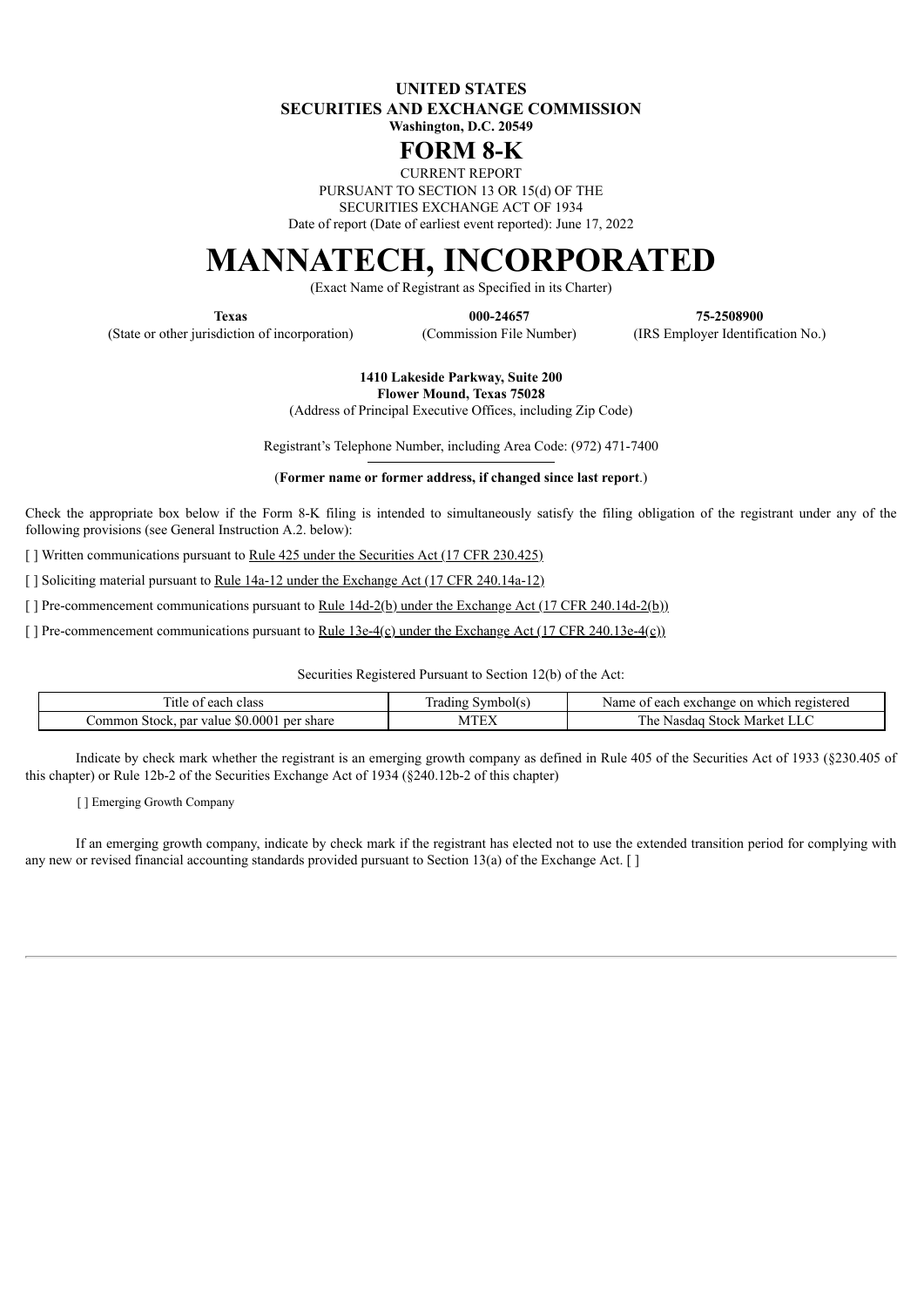**UNITED STATES SECURITIES AND EXCHANGE COMMISSION Washington, D.C. 20549**

## **FORM 8-K**

CURRENT REPORT

PURSUANT TO SECTION 13 OR 15(d) OF THE

SECURITIES EXCHANGE ACT OF 1934

Date of report (Date of earliest event reported): June 17, 2022

# **MANNATECH, INCORPORATED**

(Exact Name of Registrant as Specified in its Charter)

(State or other jurisdiction of incorporation) (Commission File Number) (IRS Employer Identification No.)

**Texas 000-24657 75-2508900**

**1410 Lakeside Parkway, Suite 200 Flower Mound, Texas 75028**

(Address of Principal Executive Offices, including Zip Code)

Registrant's Telephone Number, including Area Code: (972) 471-7400

(**Former name or former address, if changed since last report**.)

Check the appropriate box below if the Form 8-K filing is intended to simultaneously satisfy the filing obligation of the registrant under any of the following provisions (see General Instruction A.2. below):

[ ] Written communications pursuant to <u>Rule 425 under the Securities Act (17 CFR 230.425)</u>

[ ] Soliciting material pursuant to <u>Rule 14a-12 under the Exchange Act (17 CFR 240.14a-12)</u>

[ ] Pre-commencement communications pursuant to <u>Rule 14d-2(b) under the Exchange Act (17 CFR 240.14d-2(b)</u>)

[ ] Pre-commencement communications pursuant to <u>Rule 13e-4(c)</u> under the Exchange Act (17 CFR 240.13e-4(c))

Securities Registered Pursuant to Section 12(b) of the Act:

| class<br>each<br>. itie<br>-01                                                       | . rading<br>$\sim$ vmboles. | registered<br>Name<br>., exchange<br>$\alpha$ n<br>which<br>$\Delta$<br>$^{\circ}$<br>caci |
|--------------------------------------------------------------------------------------|-----------------------------|--------------------------------------------------------------------------------------------|
| $\Omega$<br>share<br>79.000 F<br>ommon<br>par<br>per<br><b>Stock</b><br>value<br>.ЫJ | ------                      | æ<br>r he<br>Market<br>Stock.<br>300 <sup>o</sup><br>Na<br>ма<br>''' N.C.<br><b>LL</b>     |

Indicate by check mark whether the registrant is an emerging growth company as defined in Rule 405 of the Securities Act of 1933 (§230.405 of this chapter) or Rule 12b-2 of the Securities Exchange Act of 1934 (§240.12b-2 of this chapter)

[ ] Emerging Growth Company

If an emerging growth company, indicate by check mark if the registrant has elected not to use the extended transition period for complying with any new or revised financial accounting standards provided pursuant to Section 13(a) of the Exchange Act.  $\lceil \cdot \rceil$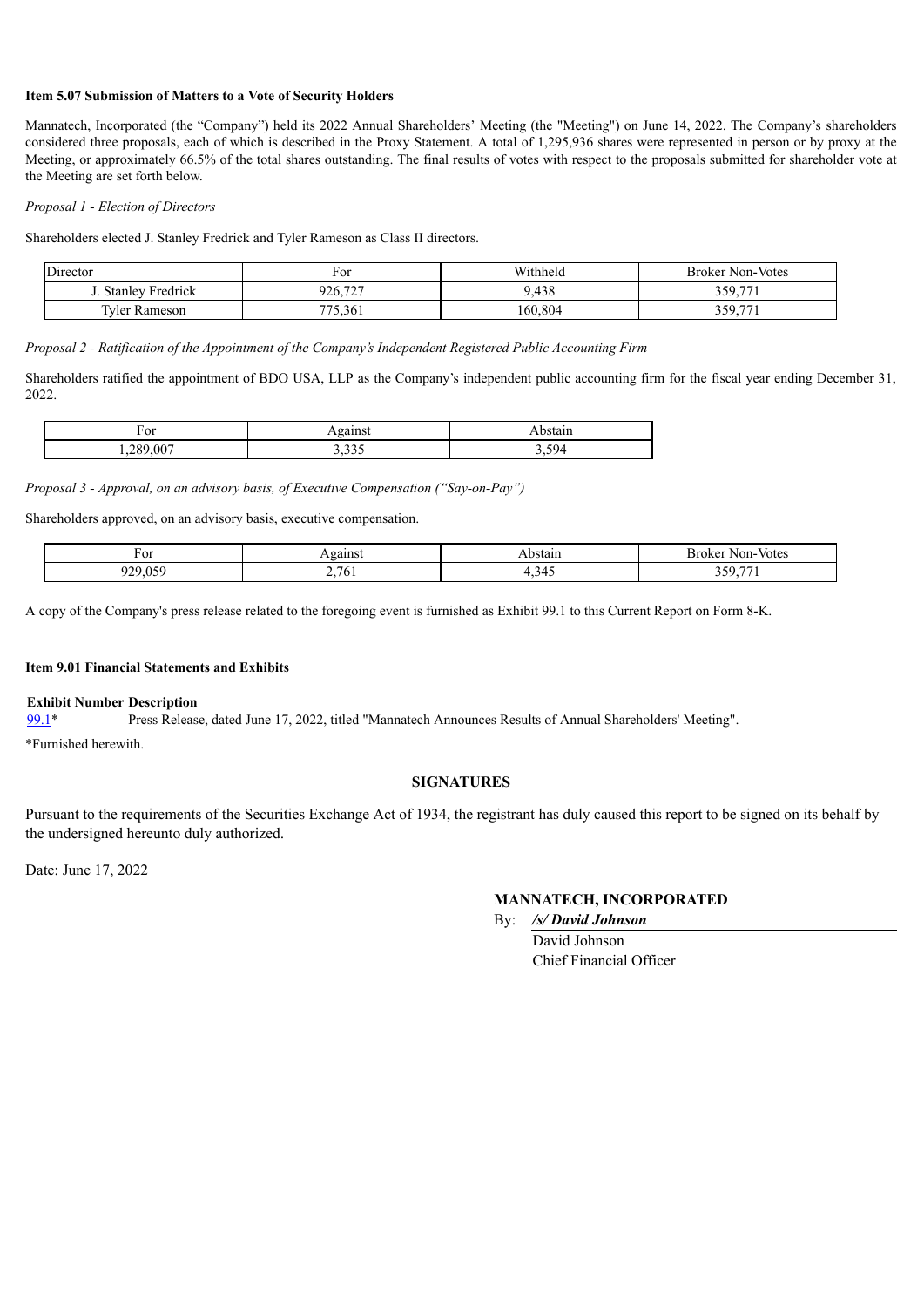#### **Item 5.07 Submission of Matters to a Vote of Security Holders**

Mannatech, Incorporated (the "Company") held its 2022 Annual Shareholders' Meeting (the "Meeting") on June 14, 2022. The Company's shareholders considered three proposals, each of which is described in the Proxy Statement. A total of 1,295,936 shares were represented in person or by proxy at the Meeting, or approximately 66.5% of the total shares outstanding. The final results of votes with respect to the proposals submitted for shareholder vote at the Meeting are set forth below.

#### *Proposal 1 - Election of Directors*

Shareholders elected J. Stanley Fredrick and Tyler Rameson as Class II directors.

| $\mathbf{r}$<br>Director | F or                             | Withhela | <b>Broker Non-Votes</b> |
|--------------------------|----------------------------------|----------|-------------------------|
| <b>Stanley Fredrick</b>  | $\overline{a}$<br>926.<br>$\sim$ | 9,438    | 350771<br>JJ .          |
| <b>Tyler Rameson</b>     | 775,361                          | 160,804  | 250 771<br>JJ .         |

*Proposal 2 - Ratification of the Appointment of the Company's Independent Registered Public Accounting Firm*

Shareholders ratified the appointment of BDO USA, LLP as the Company's independent public accounting firm for the fiscal year ending December 31, 2022.

| $\sim$ r<br>T. OT      | -----<br>шэ                   | 'Stail.   |
|------------------------|-------------------------------|-----------|
| . ററ~<br>$\Delta$<br>. | $\sim$ $\sim$ $\sim$<br>----- | 594<br>ັ້ |

*Proposal 3 - Approval, on an advisory basis, of Executive Compensation ("Say-on-Pay")*

Shareholders approved, on an advisory basis, executive compensation.

| For                                | gains                     | าstair.                       | Votes<br>B۲<br>.oker<br>Non-       |
|------------------------------------|---------------------------|-------------------------------|------------------------------------|
| $ \sim$<br>$\sim$ $\sim$<br>.<br>- | $76_1$<br>-<br><u>. .</u> | $\Delta^{\prime}$<br>ر<br>. . | $- -$<br>ን ሮ ሰ<br><u>JJ</u><br>. . |

A copy of the Company's press release related to the foregoing event is furnished as Exhibit 99.1 to this Current Report on Form 8-K.

#### **Item 9.01 Financial Statements and Exhibits**

#### **Exhibit Number Description**

[99.1](#page-2-0)\* Press Release, dated June 17, 2022, titled "Mannatech Announces Results of Annual Shareholders' Meeting".

\*Furnished herewith.

#### **SIGNATURES**

Pursuant to the requirements of the Securities Exchange Act of 1934, the registrant has duly caused this report to be signed on its behalf by the undersigned hereunto duly authorized.

Date: June 17, 2022

### **MANNATECH, INCORPORATED**

By: */s/ David Johnson* David Johnson Chief Financial Officer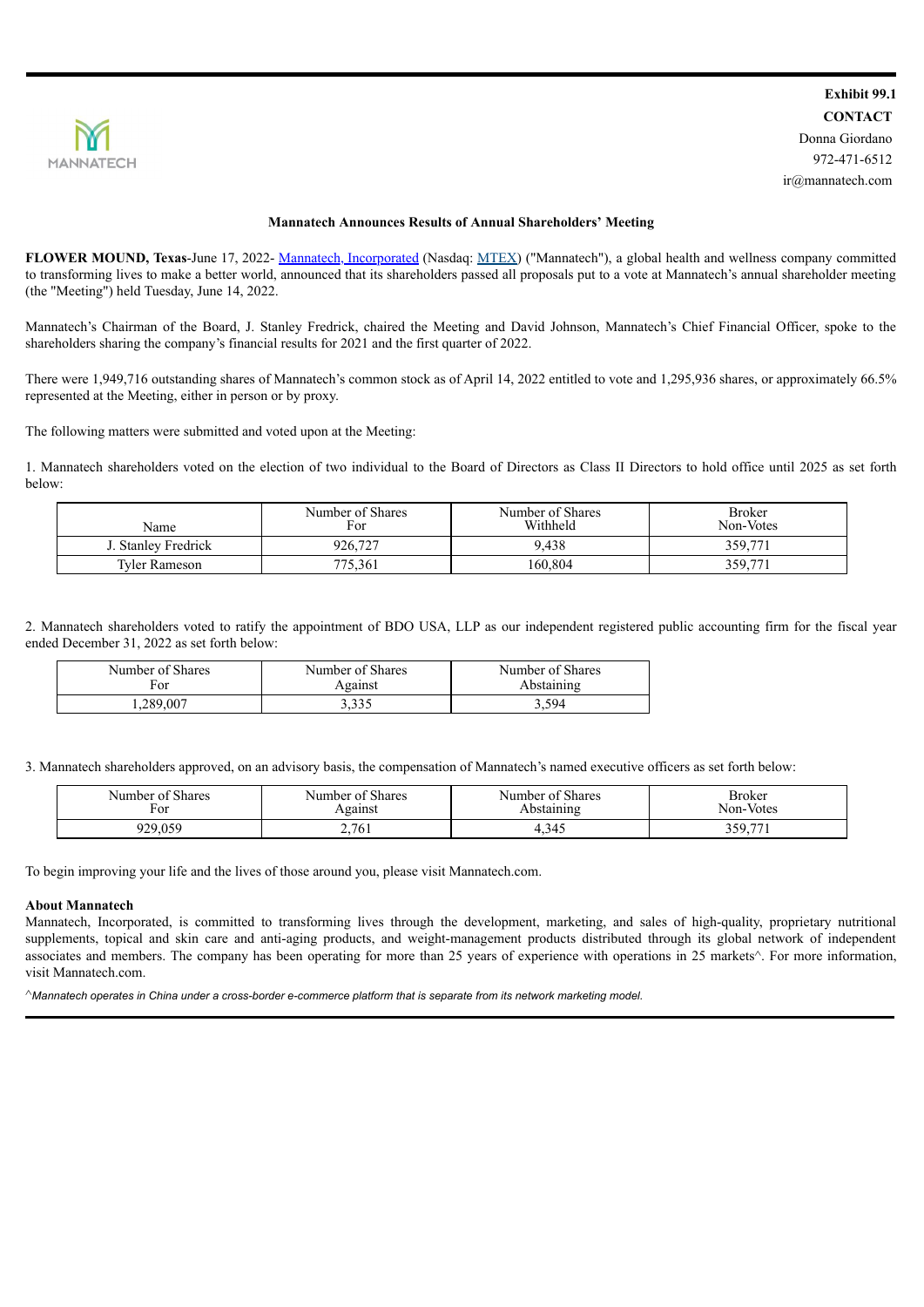<span id="page-2-0"></span>

#### **Mannatech Announces Results of Annual Shareholders' Meeting**

**FLOWER MOUND, Texas**-June 17, 2022- Mannatech, Incorporated (Nasdaq: MTEX) ("Mannatech"), a global health and wellness company committed to transforming lives to make a better world, announced that its shareholders passed all proposals put to a vote at Mannatech's annual shareholder meeting (the "Meeting") held Tuesday, June 14, 2022.

Mannatech's Chairman of the Board, J. Stanley Fredrick, chaired the Meeting and David Johnson, Mannatech's Chief Financial Officer, spoke to the shareholders sharing the company's financial results for 2021 and the first quarter of 2022.

There were 1,949,716 outstanding shares of Mannatech's common stock as of April 14, 2022 entitled to vote and 1,295,936 shares, or approximately 66.5% represented at the Meeting, either in person or by proxy.

The following matters were submitted and voted upon at the Meeting:

1. Mannatech shareholders voted on the election of two individual to the Board of Directors as Class II Directors to hold office until 2025 as set forth below:

| Name                 | Number of Shares<br>For | Number of Shares<br>Withheld | <b>Broker</b><br>Non-Votes |
|----------------------|-------------------------|------------------------------|----------------------------|
| J. Stanlev Fredrick  | 926,727                 | 9,438                        | 359,771                    |
| <b>Tyler Rameson</b> | 775,361                 | 160,804                      | 359,77                     |

2. Mannatech shareholders voted to ratify the appointment of BDO USA, LLP as our independent registered public accounting firm for the fiscal year ended December 31, 2022 as set forth below:

| Number of Shares | Number of Shares | Number of Shares |
|------------------|------------------|------------------|
| For              | Against          | Abstaining       |
| .289,007         | 3.335            | 3.594            |

3. Mannatech shareholders approved, on an advisory basis, the compensation of Mannatech's named executive officers as set forth below:

| 0.01<br>Number of Shares<br>For | 0.01<br>of Shares<br>Number<br>Against | <sup>c</sup> Shares<br>Number of<br>Abstaining | Broker<br>Non-Votes    |
|---------------------------------|----------------------------------------|------------------------------------------------|------------------------|
| 929,059                         | 2,761                                  | 4.345                                          | 250 771<br>، بە رىيە ب |

To begin improving your life and the lives of those around you, please visit Mannatech.com.

#### **About Mannatech**

Mannatech, Incorporated, is committed to transforming lives through the development, marketing, and sales of high-quality, proprietary nutritional supplements, topical and skin care and anti-aging products, and weight-management products distributed through its global network of independent associates and members. The company has been operating for more than 25 years of experience with operations in 25 markets^. For more information, visit Mannatech.com.

^Mannatech operates in China under a cross-border e-commerce platform that is separate from its network marketing model.